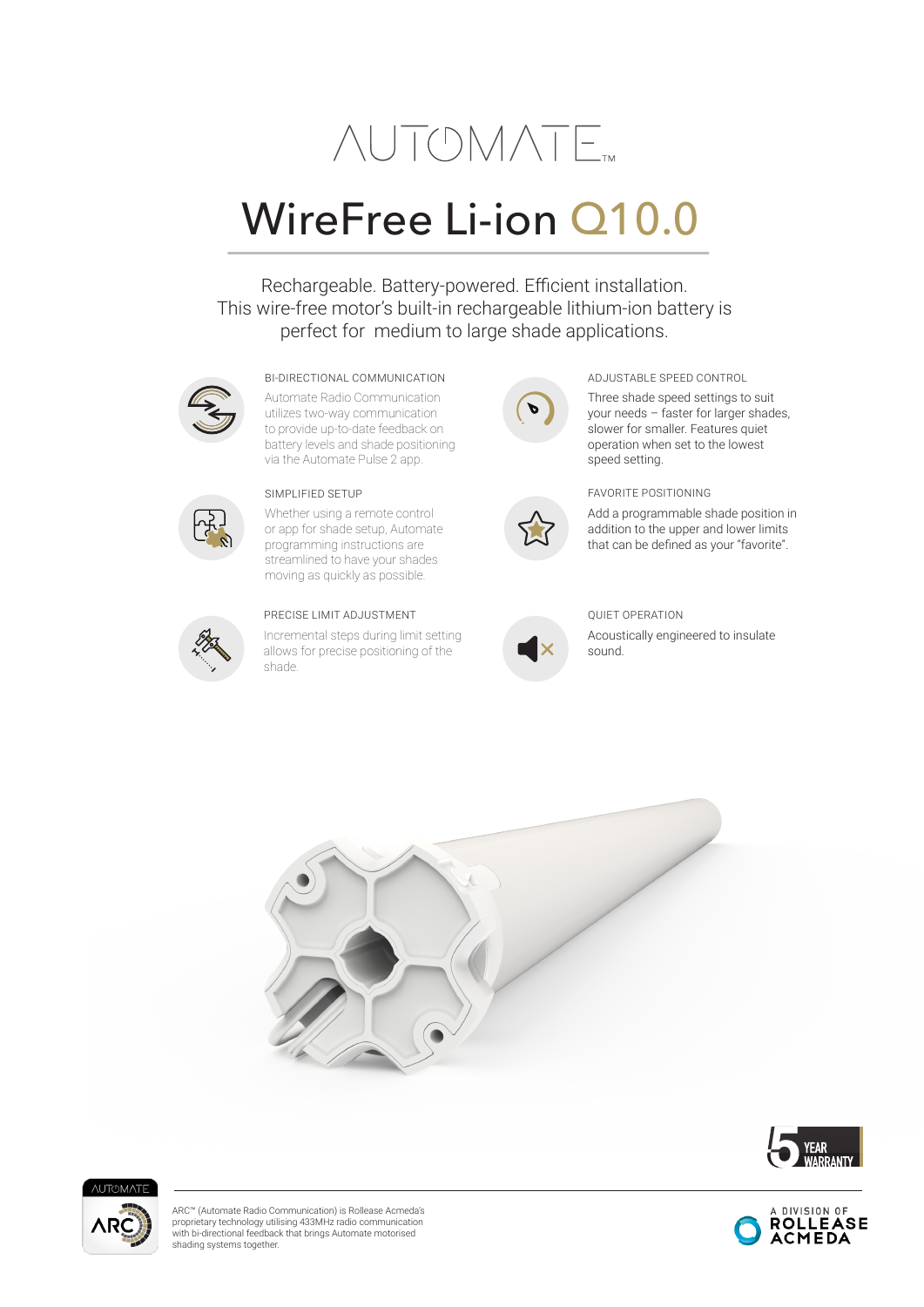# **NUTOMATE**

# WireFree Li-ion Q10.0

Rechargeable. Battery-powered. Efficient installation. This wire-free motor's built-in rechargeable lithium-ion battery is perfect for medium to large shade applications.



#### BI-DIRECTIONAL COMMUNICATION ADJUSTABLE SPEED CONTROL

Automate Radio Communication utilizes two-way communication to provide up-to-date feedback on battery levels and shade positioning via the Automate Pulse 2 app.



Whether using a remote control or app for shade setup, Automate programming instructions are streamlined to have your shades moving as quickly as possible.



#### PRECISE LIMIT ADJUSTMENT

Incremental steps during limit setting allows for precise positioning of the shade.





your needs – faster for larger shades, slower for smaller. Features quiet operation when set to the lowest speed setting.

SIMPLIFIED SETUP FAVORITE POSITIONING

Add a programmable shade position in addition to the upper and lower limits that can be defined as your "favorite".



### QUIET OPERATION

Acoustically engineered to insulate sound.







ARC™ (Automate Radio Communication) is Rollease Acmeda's proprietary technology utilising 433MHz radio communication with bi-directional feedback that brings Automate motorised shading systems together.